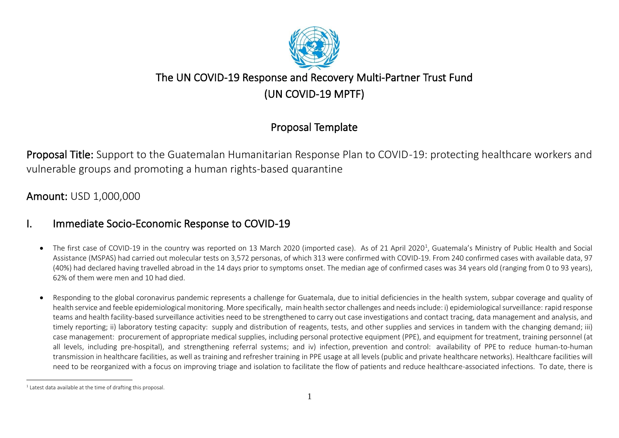

# The UN COVID-19 Response and Recovery Multi-Partner Trust Fund (UN COVID-19 MPTF)

## Proposal Template

Proposal Title: Support to the Guatemalan Humanitarian Response Plan to COVID-19: protecting healthcare workers and vulnerable groups and promoting a human rights-based quarantine

Amount: USD 1,000,000

## I. Immediate Socio-Economic Response to COVID-19

- $\bullet$  The first case of COVID-19 in the country was reported on 13 March 2020 (imported case). As of 21 April 2020<sup>1</sup>, Guatemala's Ministry of Public Health and Social Assistance (MSPAS) had carried out molecular tests on 3,572 personas, of which 313 were confirmed with COVID-19. From 240 confirmed cases with available data, 97 (40%) had declared having travelled abroad in the 14 days prior to symptoms onset. The median age of confirmed cases was 34 years old (ranging from 0 to 93 years), 62% of them were men and 10 had died.
- Responding to the global coronavirus pandemic represents a challenge for Guatemala, due to initial deficiencies in the health system, subpar coverage and quality of health service and feeble epidemiological monitoring. More specifically, main health sector challenges and needs include: i) epidemiological surveillance: rapid response teams and health facility-based surveillance activities need to be strengthened to carry out case investigations and contact tracing, data management and analysis, and timely reporting; ii) laboratory testing capacity: supply and distribution of reagents, tests, and other supplies and services in tandem with the changing demand; iii) case management: procurement of appropriate medical supplies, including personal protective equipment (PPE), and equipment for treatment, training personnel (at all levels, including pre-hospital), and strengthening referral systems; and iv) infection, prevention and control: availability of PPE to reduce human-to-human transmission in healthcare facilities, as well as training and refresher training in PPE usage at all levels (public and private healthcare networks). Healthcare facilities will need to be reorganized with a focus on improving triage and isolation to facilitate the flow of patients and reduce healthcare-associated infections. To date, there is

 $1$  Latest data available at the time of drafting this proposal.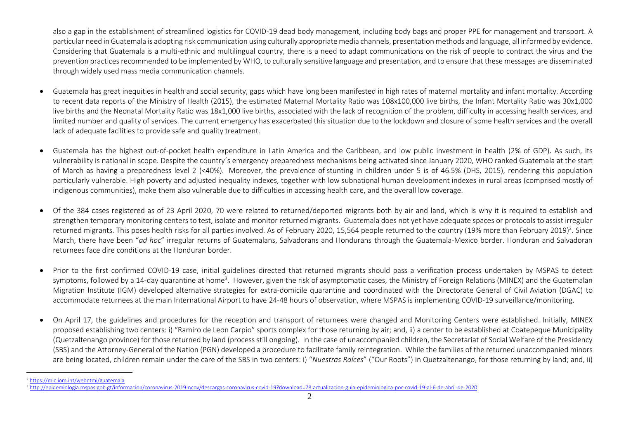also a gap in the establishment of streamlined logistics for COVID-19 dead body management, including body bags and proper PPE for management and transport. A particular need in Guatemala is adopting risk communication using culturally appropriate media channels, presentation methods and language, all informed by evidence. Considering that Guatemala is a multi-ethnic and multilingual country, there is a need to adapt communications on the risk of people to contract the virus and the prevention practices recommended to be implemented by WHO, to culturally sensitive language and presentation, and to ensure that these messages are disseminated through widely used mass media communication channels.

- Guatemala has great inequities in health and social security, gaps which have long been manifested in high rates of maternal mortality and infant mortality. According to recent data reports of the Ministry of Health (2015), the estimated Maternal Mortality Ratio was 108x100,000 live births, the Infant Mortality Ratio was 30x1,000 live births and the Neonatal Mortality Ratio was 18x1,000 live births, associated with the lack of recognition of the problem, difficulty in accessing health services, and limited number and quality of services. The current emergency has exacerbated this situation due to the lockdown and closure of some health services and the overall lack of adequate facilities to provide safe and quality treatment.
- Guatemala has the highest out-of-pocket health expenditure in Latin America and the Caribbean, and low public investment in health (2% of GDP). As such, its vulnerability is national in scope. Despite the country´s emergency preparedness mechanisms being activated since January 2020, WHO ranked Guatemala at the start of March as having a preparedness level 2 (<40%). Moreover, the prevalence of stunting in children under 5 is of 46.5% (DHS, 2015), rendering this population particularly vulnerable. High poverty and adjusted inequality indexes, together with low subnational human development indexes in rural areas (comprised mostly of indigenous communities), make them also vulnerable due to difficulties in accessing health care, and the overall low coverage.
- Of the 384 cases registered as of 23 April 2020, 70 were related to returned/deported migrants both by air and land, which is why it is required to establish and strengthen temporary monitoring centers to test, isolate and monitor returned migrants. Guatemala does not yet have adequate spaces or protocols to assist irregular returned migrants. This poses health risks for all parties involved. As of February 2020, 15,564 people returned to the country (19% more than February 2019)<sup>2</sup>. Since March, there have been "*ad hoc*" irregular returns of Guatemalans, Salvadorans and Hondurans through the Guatemala-Mexico border. Honduran and Salvadoran returnees face dire conditions at the Honduran border.
- Prior to the first confirmed COVID-19 case, initial guidelines directed that returned migrants should pass a verification process undertaken by MSPAS to detect symptoms, followed by a 14-day quarantine at home<sup>3</sup>. However, given the risk of asymptomatic cases, the Ministry of Foreign Relations (MINEX) and the Guatemalan Migration Institute (IGM) developed alternative strategies for extra-domicile quarantine and coordinated with the Directorate General of Civil Aviation (DGAC) to accommodate returnees at the main International Airport to have 24-48 hours of observation, where MSPAS is implementing COVID-19 surveillance/monitoring.
- On April 17, the guidelines and procedures for the reception and transport of returnees were changed and Monitoring Centers were established. Initially, MINEX proposed establishing two centers: i) "Ramiro de Leon Carpio" sports complex for those returning by air; and, ii) a center to be established at Coatepeque Municipality (Quetzaltenango province) for those returned by land (process still ongoing). In the case of unaccompanied children, the Secretariat of Social Welfare of the Presidency (SBS) and the Attorney-General of the Nation (PGN) developed a procedure to facilitate family reintegration. While the families of the returned unaccompanied minors are being located, children remain under the care of the SBS in two centers: i) "*Nuestras Raíces*" ("Our Roots") in Quetzaltenango, for those returning by land; and, ii)

<sup>2</sup> <https://mic.iom.int/webntmi/guatemala> <sup>3</sup> <http://epidemiologia.mspas.gob.gt/informacion/coronavirus-2019-ncov/descargas-coronavirus-covid-19?download=78:actualizacion-guia-epidemiologica-por-covid-19-al-6-de-abril-de-2020>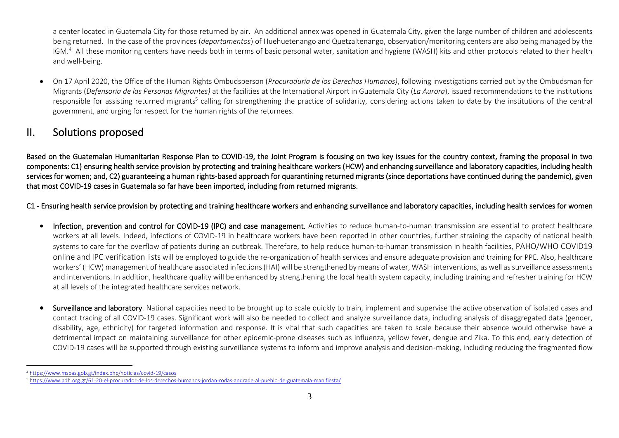a center located in Guatemala City for those returned by air. An additional annex was opened in Guatemala City, given the large number of children and adolescents being returned. In the case of the provinces (*departamentos*) of Huehuetenango and Quetzaltenango, observation/monitoring centers are also being managed by the IGM.<sup>4</sup> All these monitoring centers have needs both in terms of basic personal water, sanitation and hygiene (WASH) kits and other protocols related to their health and well-being.

• On 17 April 2020, the Office of the Human Rights Ombudsperson (*Procuraduría de los Derechos Humanos)*, following investigations carried out by the Ombudsman for Migrants (*Defensoría de las Personas Migrantes)* at the facilities at the International Airport in Guatemala City (*La Aurora*), issued recommendations to the institutions responsible for assisting returned migrants<sup>5</sup> calling for strengthening the practice of solidarity, considering actions taken to date by the institutions of the central government, and urging for respect for the human rights of the returnees.

## II. Solutions proposed

Based on the Guatemalan Humanitarian Response Plan to COVID-19, the Joint Program is focusing on two key issues for the country context, framing the proposal in two components: C1) ensuring health service provision by protecting and training healthcare workers (HCW) and enhancing surveillance and laboratory capacities, including health services for women; and, C2) guaranteeing a human rights-based approach for quarantining returned migrants (since deportations have continued during the pandemic), given that most COVID-19 cases in Guatemala so far have been imported, including from returned migrants.

C1 - Ensuring health service provision by protecting and training healthcare workers and enhancing surveillance and laboratory capacities, including health services for women

- Infection, prevention and control for COVID-19 (IPC) and case management. Activities to reduce human-to-human transmission are essential to protect healthcare workers at all levels. Indeed, infections of COVID-19 in healthcare workers have been reported in other countries, further straining the capacity of national health systems to care for the overflow of patients during an outbreak. Therefore, to help reduce human-to-human transmission in health facilities, PAHO/WHO COVID19 online and IPC verification lists will be employed to guide the re-organization of health services and ensure adequate provision and training for PPE. Also, healthcare workers' (HCW) management of healthcare associated infections (HAI) will be strengthened by means of water, WASH interventions, as well as surveillance assessments and interventions. In addition, healthcare quality will be enhanced by strengthening the local health system capacity, including training and refresher training for HCW at all levels of the integrated healthcare services network.
- Surveillance and laboratory. National capacities need to be brought up to scale quickly to train, implement and supervise the active observation of isolated cases and contact tracing of all COVID-19 cases. Significant work will also be needed to collect and analyze surveillance data, including analysis of disaggregated data (gender, disability, age, ethnicity) for targeted information and response. It is vital that such capacities are taken to scale because their absence would otherwise have a detrimental impact on maintaining surveillance for other epidemic-prone diseases such as influenza, yellow fever, dengue and Zika. To this end, early detection of COVID-19 cases will be supported through existing surveillance systems to inform and improve analysis and decision-making, including reducing the fragmented flow

<sup>4</sup> <https://www.mspas.gob.gt/index.php/noticias/covid-19/casos>

<sup>5</sup> <https://www.pdh.org.gt/61-20-el-procurador-de-los-derechos-humanos-jordan-rodas-andrade-al-pueblo-de-guatemala-manifiesta/>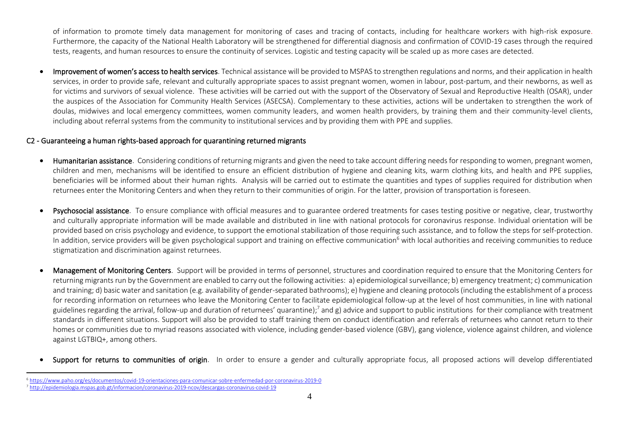of information to promote timely data management for monitoring of cases and tracing of contacts, including for healthcare workers with high-risk exposure. Furthermore, the capacity of the National Health Laboratory will be strengthened for differential diagnosis and confirmation of COVID-19 cases through the required tests, reagents, and human resources to ensure the continuity of services. Logistic and testing capacity will be scaled up as more cases are detected.

Improvement of women's access to health services. Technical assistance will be provided to MSPAS to strengthen regulations and norms, and their application in health services, in order to provide safe, relevant and culturally appropriate spaces to assist pregnant women, women in labour, post-partum, and their newborns, as well as for victims and survivors of sexual violence. These activities will be carried out with the support of the Observatory of Sexual and Reproductive Health (OSAR), under the auspices of the Association for Community Health Services (ASECSA). Complementary to these activities, actions will be undertaken to strengthen the work of doulas, midwives and local emergency committees, women community leaders, and women health providers, by training them and their community-level clients, including about referral systems from the community to institutional services and by providing them with PPE and supplies.

#### C2 - Guaranteeing a human rights-based approach for quarantining returned migrants

- Humanitarian assistance. Considering conditions of returning migrants and given the need to take account differing needs for responding to women, pregnant women, children and men, mechanisms will be identified to ensure an efficient distribution of hygiene and cleaning kits, warm clothing kits, and health and PPE supplies, beneficiaries will be informed about their human rights. Analysis will be carried out to estimate the quantities and types of supplies required for distribution when returnees enter the Monitoring Centers and when they return to their communities of origin. For the latter, provision of transportation is foreseen.
- Psychosocial assistance. To ensure compliance with official measures and to guarantee ordered treatments for cases testing positive or negative, clear, trustworthy and culturally appropriate information will be made available and distributed in line with national protocols for coronavirus response. Individual orientation will be provided based on crisis psychology and evidence, to support the emotional stabilization of those requiring such assistance, and to follow the steps for self-protection. In addition, service providers will be given psychological support and training on effective communication<sup>6</sup> with local authorities and receiving communities to reduce stigmatization and discrimination against returnees.
- Management of Monitoring Centers. Support will be provided in terms of personnel, structures and coordination required to ensure that the Monitoring Centers for returning migrants run by the Government are enabled to carry out the following activities: a) epidemiological surveillance; b) emergency treatment; c) communication and training; d) basic water and sanitation (e.g. availability of gender-separated bathrooms); e) hygiene and cleaning protocols (including the establishment of a process for recording information on returnees who leave the Monitoring Center to facilitate epidemiological follow-up at the level of host communities, in line with national guidelines regarding the arrival, follow-up and duration of returnees' quarantine);<sup>7</sup> and g) advice and support to public institutions for their compliance with treatment standards in different situations. Support will also be provided to staff training them on conduct identification and referrals of returnees who cannot return to their homes or communities due to myriad reasons associated with violence, including gender-based violence (GBV), gang violence, violence against children, and violence against LGTBIQ+, among others.
- Support for returns to communities of origin. In order to ensure a gender and culturally appropriate focus, all proposed actions will develop differentiated

<sup>6</sup> <https://www.paho.org/es/documentos/covid-19-orientaciones-para-comunicar-sobre-enfermedad-por-coronavirus-2019-0> <sup>7</sup> <http://epidemiologia.mspas.gob.gt/informacion/coronavirus-2019-ncov/descargas-coronavirus-covid-19>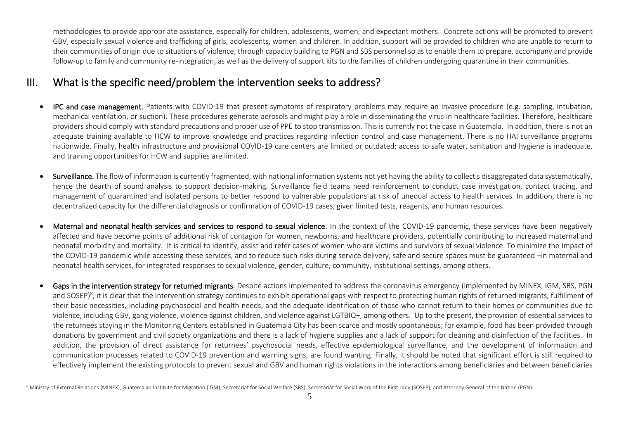methodologies to provide appropriate assistance, especially for children, adolescents, women, and expectant mothers. Concrete actions will be promoted to prevent GBV, especially sexual violence and trafficking of girls, adolescents, women and children. In addition, support will be provided to children who are unable to return to their communities of origin due to situations of violence, through capacity building to PGN and SBS personnel so as to enable them to prepare, accompany and provide follow-up to family and community re-integration, as well as the delivery of support kits to the families of children undergoing quarantine in their communities.

## III. What is the specific need/problem the intervention seeks to address?

- **IPC and case management.** Patients with COVID-19 that present symptoms of respiratory problems may require an invasive procedure (e.g. sampling, intubation, mechanical ventilation, or suction). These procedures generate aerosols and might play a role in disseminating the virus in healthcare facilities. Therefore, healthcare providers should comply with standard precautions and proper use of PPE to stop transmission. This is currently not the case in Guatemala. In addition, there is not an adequate training available to HCW to improve knowledge and practices regarding infection control and case management. There is no HAI surveillance programs nationwide. Finally, health infrastructure and provisional COVID-19 care centers are limited or outdated; access to safe water, sanitation and hygiene is inadequate, and training opportunities for HCW and supplies are limited.
- Surveillance. The flow of information is currently fragmented, with national information systems not yet having the ability to collect s disaggregated data systematically, hence the dearth of sound analysis to support decision-making. Surveillance field teams need reinforcement to conduct case investigation, contact tracing, and management of quarantined and isolated persons to better respond to vulnerable populations at risk of unequal access to health services. In addition, there is no decentralized capacity for the differential diagnosis or confirmation of COVID-19 cases, given limited tests, reagents, and human resources.
- Maternal and neonatal health services and services to respond to sexual violence. In the context of the COVID-19 pandemic, these services have been negatively affected and have become points of additional risk of contagion for women, newborns, and healthcare providers, potentially contributing to increased maternal and neonatal morbidity and mortality. It is critical to identify, assist and refer cases of women who are victims and survivors of sexual violence. To minimize the impact of the COVID-19 pandemic while accessing these services, and to reduce such risks during service delivery, safe and secure spaces must be guaranteed –in maternal and neonatal health services, for integrated responses to sexual violence, gender, culture, community, institutional settings, among others.
- Gaps in the intervention strategy for returned migrants. Despite actions implemented to address the coronavirus emergency (implemented by MINEX, IGM, SBS, PGN and SOSEP)<sup>8</sup>, it is clear that the intervention strategy continues to exhibit operational gaps with respect to protecting human rights of returned migrants, fulfillment of their basic necessities, including psychosocial and health needs, and the adequate identification of those who cannot return to their homes or communities due to violence, including GBV, gang violence, violence against children, and violence against LGTBIQ+, among others. Up to the present, the provision of essential services to the returnees staying in the Monitoring Centers established in Guatemala City has been scarce and mostly spontaneous; for example, food has been provided through donations by government and civil society organizations and there is a lack of hygiene supplies and a lack of support for cleaning and disinfection of the facilities. In addition, the provision of direct assistance for returnees' psychosocial needs, effective epidemiological surveillance, and the development of information and communication processes related to COVID-19 prevention and warning signs, are found wanting. Finally, it should be noted that significant effort is still required to effectively implement the existing protocols to prevent sexual and GBV and human rights violations in the interactions among beneficiaries and between beneficiaries

<sup>&</sup>lt;sup>8</sup> Ministry of External Relations (MINEX), Guatemalan Institute for Migration (IGM), Secretariat for Social Welfare (SBS), Secretariat for Social Work of the First Lady (SOSEP), and Attorney General of the Nation (PGN).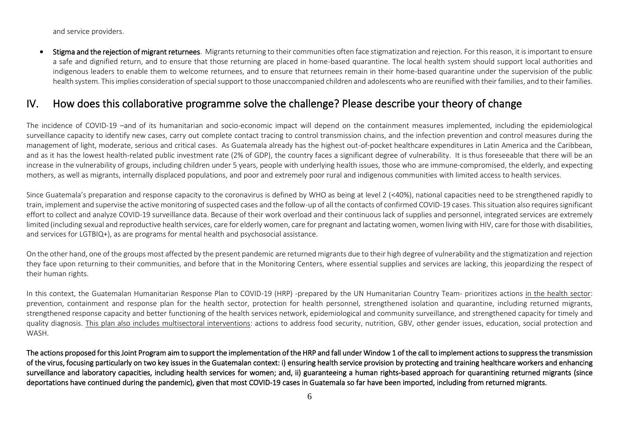and service providers.

Stigma and the rejection of migrant returnees. Migrants returning to their communities often face stigmatization and rejection. For this reason, it is important to ensure a safe and dignified return, and to ensure that those returning are placed in home-based quarantine. The local health system should support local authorities and indigenous leaders to enable them to welcome returnees, and to ensure that returnees remain in their home-based quarantine under the supervision of the public health system. This implies consideration of special support to those unaccompanied children and adolescents who are reunified with their families, and to their families.

## IV. How does this collaborative programme solve the challenge? Please describe your theory of change

The incidence of COVID-19 –and of its humanitarian and socio-economic impact will depend on the containment measures implemented, including the epidemiological surveillance capacity to identify new cases, carry out complete contact tracing to control transmission chains, and the infection prevention and control measures during the management of light, moderate, serious and critical cases. As Guatemala already has the highest out-of-pocket healthcare expenditures in Latin America and the Caribbean, and as it has the lowest health-related public investment rate (2% of GDP), the country faces a significant degree of vulnerability. It is thus foreseeable that there will be an increase in the vulnerability of groups, including children under 5 years, people with underlying health issues, those who are immune-compromised, the elderly, and expecting mothers, as well as migrants, internally displaced populations, and poor and extremely poor rural and indigenous communities with limited access to health services.

Since Guatemala's preparation and response capacity to the coronavirus is defined by WHO as being at level 2 (<40%), national capacities need to be strengthened rapidly to train, implement and supervise the active monitoring of suspected cases and the follow-up of all the contacts of confirmed COVID-19 cases. This situation also requires significant effort to collect and analyze COVID-19 surveillance data. Because of their work overload and their continuous lack of supplies and personnel, integrated services are extremely limited (including sexual and reproductive health services, care for elderly women, care for pregnant and lactating women, women living with HIV, care for those with disabilities, and services for LGTBIQ+), as are programs for mental health and psychosocial assistance.

On the other hand, one of the groups most affected by the present pandemic are returned migrants due to their high degree of vulnerability and the stigmatization and rejection they face upon returning to their communities, and before that in the Monitoring Centers, where essential supplies and services are lacking, this jeopardizing the respect of their human rights.

In this context, the Guatemalan Humanitarian Response Plan to COVID-19 (HRP) -prepared by the UN Humanitarian Country Team- prioritizes actions in the health sector: prevention, containment and response plan for the health sector, protection for health personnel, strengthened isolation and quarantine, including returned migrants, strengthened response capacity and better functioning of the health services network, epidemiological and community surveillance, and strengthened capacity for timely and quality diagnosis. This plan also includes multisectoral interventions: actions to address food security, nutrition, GBV, other gender issues, education, social protection and WASH.

The actions proposed for this Joint Program aim to support the implementation of the HRP and fall under Window 1 of the call to implement actions to suppress the transmission of the virus, focusing particularly on two key issues in the Guatemalan context: i) ensuring health service provision by protecting and training healthcare workers and enhancing surveillance and laboratory capacities, including health services for women; and, ii) guaranteeing a human rights-based approach for quarantining returned migrants (since deportations have continued during the pandemic), given that most COVID-19 cases in Guatemala so far have been imported, including from returned migrants.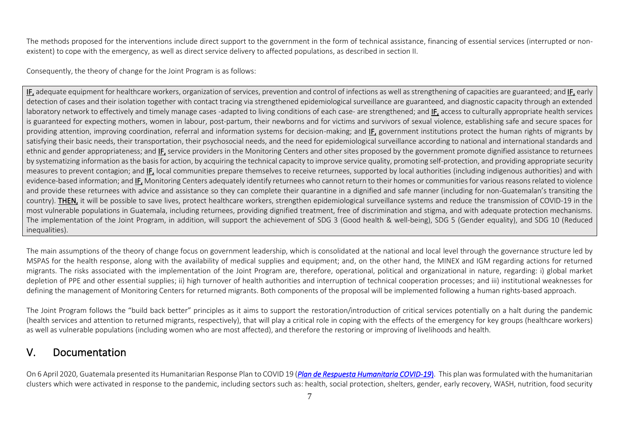The methods proposed for the interventions include direct support to the government in the form of technical assistance, financing of essential services (interrupted or nonexistent) to cope with the emergency, as well as direct service delivery to affected populations, as described in section II.

Consequently, the theory of change for the Joint Program is as follows:

IF, adequate equipment for healthcare workers, organization of services, prevention and control of infections as well as strengthening of capacities are guaranteed; and IF, early detection of cases and their isolation together with contact tracing via strengthened epidemiological surveillance are guaranteed, and diagnostic capacity through an extended laboratory network to effectively and timely manage cases -adapted to living conditions of each case- are strengthened; and IF, access to culturally appropriate health services is guaranteed for expecting mothers, women in labour, post-partum, their newborns and for victims and survivors of sexual violence, establishing safe and secure spaces for providing attention, improving coordination, referral and information systems for decision-making; and IF, government institutions protect the human rights of migrants by satisfying their basic needs, their transportation, their psychosocial needs, and the need for epidemiological surveillance according to national and international standards and ethnic and gender appropriateness; and IF, service providers in the Monitoring Centers and other sites proposed by the government promote dignified assistance to returnees by systematizing information as the basis for action, by acquiring the technical capacity to improve service quality, promoting self-protection, and providing appropriate security measures to prevent contagion; and IF, local communities prepare themselves to receive returnees, supported by local authorities (including indigenous authorities) and with evidence-based information; and IF, Monitoring Centers adequately identify returnees who cannot return to their homes or communities for various reasons related to violence and provide these returnees with advice and assistance so they can complete their quarantine in a dignified and safe manner (including for non-Guatemalan's transiting the country). THEN, it will be possible to save lives, protect healthcare workers, strengthen epidemiological surveillance systems and reduce the transmission of COVID-19 in the most vulnerable populations in Guatemala, including returnees, providing dignified treatment, free of discrimination and stigma, and with adequate protection mechanisms. The implementation of the Joint Program, in addition, will support the achievement of SDG 3 (Good health & well-being), SDG 5 (Gender equality), and SDG 10 (Reduced inequalities).

The main assumptions of the theory of change focus on government leadership, which is consolidated at the national and local level through the governance structure led by MSPAS for the health response, along with the availability of medical supplies and equipment; and, on the other hand, the MINEX and IGM regarding actions for returned migrants. The risks associated with the implementation of the Joint Program are, therefore, operational, political and organizational in nature, regarding: i) global market depletion of PPE and other essential supplies; ii) high turnover of health authorities and interruption of technical cooperation processes; and iii) institutional weaknesses for defining the management of Monitoring Centers for returned migrants. Both components of the proposal will be implemented following a human rights-based approach.

The Joint Program follows the "build back better" principles as it aims to support the restoration/introduction of critical services potentially on a halt during the pandemic (health services and attention to returned migrants, respectively), that will play a critical role in coping with the effects of the emergency for key groups (healthcare workers) as well as vulnerable populations (including women who are most affected), and therefore the restoring or improving of livelihoods and health.

## V. Documentation

On 6 April 2020, Guatemala presented its Humanitarian Response Plan to COVID 19 (*[Plan de Respuesta Humanitaria](https://guatemala.un.org/sites/default/files/2020-04/Plan_Respuesta_COVID-19_Guatemala_Prioridades_Abril_2020.pdf) COVID-19*). This plan was formulated with the humanitarian clusters which were activated in response to the pandemic, including sectors such as: health, social protection, shelters, gender, early recovery, WASH, nutrition, food security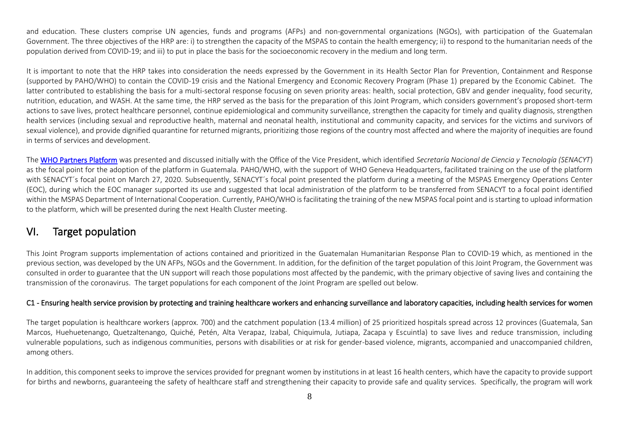and education. These clusters comprise UN agencies, funds and programs (AFPs) and non-governmental organizations (NGOs), with participation of the Guatemalan Government. The three objectives of the HRP are: i) to strengthen the capacity of the MSPAS to contain the health emergency; ii) to respond to the humanitarian needs of the population derived from COVID-19; and iii) to put in place the basis for the socioeconomic recovery in the medium and long term.

It is important to note that the HRP takes into consideration the needs expressed by the Government in its Health Sector Plan for Prevention, Containment and Response (supported by PAHO/WHO) to contain the COVID-19 crisis and the National Emergency and Economic Recovery Program (Phase 1) prepared by the Economic Cabinet. The latter contributed to establishing the basis for a multi-sectoral response focusing on seven priority areas: health, social protection, GBV and gender inequality, food security, nutrition, education, and WASH. At the same time, the HRP served as the basis for the preparation of this Joint Program, which considers government's proposed short-term actions to save lives, protect healthcare personnel, continue epidemiological and community surveillance, strengthen the capacity for timely and quality diagnosis, strengthen health services (including sexual and reproductive health, maternal and neonatal health, institutional and community capacity, and services for the victims and survivors of sexual violence), and provide dignified quarantine for returned migrants, prioritizing those regions of the country most affected and where the majority of inequities are found in terms of services and development.

The [WHO Partners Platform](https://covid-19-response.org/) was presented and discussed initially with the Office of the Vice President, which identified *Secretaría Nacional de Ciencia y Tecnología (SENACYT*) as the focal point for the adoption of the platform in Guatemala. PAHO/WHO, with the support of WHO Geneva Headquarters, facilitated training on the use of the platform with SENACYT's focal point on March 27, 2020. Subsequently, SENACYT's focal point presented the platform during a meeting of the MSPAS Emergency Operations Center (EOC), during which the EOC manager supported its use and suggested that local administration of the platform to be transferred from SENACYT to a focal point identified within the MSPAS Department of International Cooperation. Currently, PAHO/WHO is facilitating the training of the new MSPAS focal point and is starting to upload information to the platform, which will be presented during the next Health Cluster meeting.

## VI. Target population

This Joint Program supports implementation of actions contained and prioritized in the Guatemalan Humanitarian Response Plan to COVID-19 which, as mentioned in the previous section, was developed by the UN AFPs, NGOs and the Government. In addition, for the definition of the target population of this Joint Program, the Government was consulted in order to guarantee that the UN support will reach those populations most affected by the pandemic, with the primary objective of saving lives and containing the transmission of the coronavirus. The target populations for each component of the Joint Program are spelled out below.

#### C1 - Ensuring health service provision by protecting and training healthcare workers and enhancing surveillance and laboratory capacities, including health services for women

The target population is healthcare workers (approx. 700) and the catchment population (13.4 million) of 25 prioritized hospitals spread across 12 provinces (Guatemala, San Marcos, Huehuetenango, Quetzaltenango, Quiché, Petén, Alta Verapaz, Izabal, Chiquimula, Jutiapa, Zacapa y Escuintla) to save lives and reduce transmission, including vulnerable populations, such as indigenous communities, persons with disabilities or at risk for gender-based violence, migrants, accompanied and unaccompanied children, among others.

In addition, this component seeks to improve the services provided for pregnant women by institutions in at least 16 health centers, which have the capacity to provide support for births and newborns, guaranteeing the safety of healthcare staff and strengthening their capacity to provide safe and quality services. Specifically, the program will work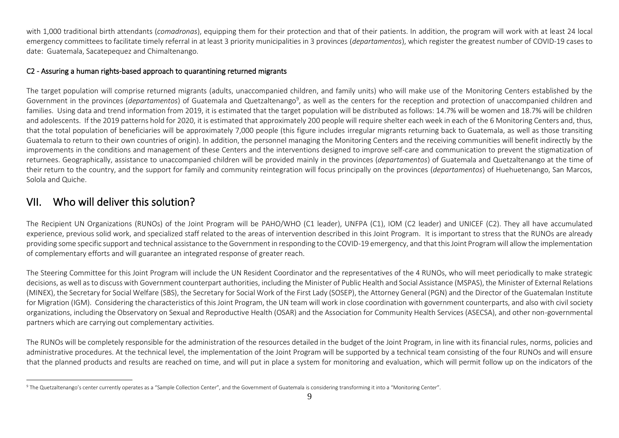with 1,000 traditional birth attendants (*comadronas*), equipping them for their protection and that of their patients. In addition, the program will work with at least 24 local emergency committees to facilitate timely referral in at least 3 priority municipalities in 3 provinces (*departamentos*), which register the greatest number of COVID-19 cases to date: Guatemala, Sacatepequez and Chimaltenango.

#### C2 - Assuring a human rights-based approach to quarantining returned migrants

The target population will comprise returned migrants (adults, unaccompanied children, and family units) who will make use of the Monitoring Centers established by the Government in the provinces (*departamentos*) of Guatemala and Quetzaltenango<sup>9</sup>, as well as the centers for the reception and protection of unaccompanied children and families. Using data and trend information from 2019, it is estimated that the target population will be distributed as follows: 14.7% will be women and 18.7% will be children and adolescents. If the 2019 patterns hold for 2020, it is estimated that approximately 200 people will require shelter each week in each of the 6 Monitoring Centers and, thus, that the total population of beneficiaries will be approximately 7,000 people (this figure includes irregular migrants returning back to Guatemala, as well as those transiting Guatemala to return to their own countries of origin). In addition, the personnel managing the Monitoring Centers and the receiving communities will benefit indirectly by the improvements in the conditions and management of these Centers and the interventions designed to improve self-care and communication to prevent the stigmatization of returnees. Geographically, assistance to unaccompanied children will be provided mainly in the provinces (*departamentos*) of Guatemala and Quetzaltenango at the time of their return to the country, and the support for family and community reintegration will focus principally on the provinces (*departamentos*) of Huehuetenango, San Marcos, Solola and Quiche.

## VII. Who will deliver this solution?

The Recipient UN Organizations (RUNOs) of the Joint Program will be PAHO/WHO (C1 leader), UNFPA (C1), IOM (C2 leader) and UNICEF (C2). They all have accumulated experience, previous solid work, and specialized staff related to the areas of intervention described in this Joint Program. It is important to stress that the RUNOs are already providing some specific support and technical assistance to the Government in responding to the COVID-19 emergency, and that this Joint Program will allow the implementation of complementary efforts and will guarantee an integrated response of greater reach.

The Steering Committee for this Joint Program will include the UN Resident Coordinator and the representatives of the 4 RUNOs, who will meet periodically to make strategic decisions, as well as to discuss with Government counterpart authorities, including the Minister of Public Health and Social Assistance (MSPAS), the Minister of External Relations (MINEX), the Secretary for Social Welfare (SBS), the Secretary for Social Work of the First Lady (SOSEP), the Attorney General (PGN) and the Director of the Guatemalan Institute for Migration (IGM). Considering the characteristics of this Joint Program, the UN team will work in close coordination with government counterparts, and also with civil society organizations, including the Observatory on Sexual and Reproductive Health (OSAR) and the Association for Community Health Services (ASECSA), and other non-governmental partners which are carrying out complementary activities.

The RUNOs will be completely responsible for the administration of the resources detailed in the budget of the Joint Program, in line with its financial rules, norms, policies and administrative procedures. At the technical level, the implementation of the Joint Program will be supported by a technical team consisting of the four RUNOs and will ensure that the planned products and results are reached on time, and will put in place a system for monitoring and evaluation, which will permit follow up on the indicators of the

<sup>9</sup> The Quetzaltenango's center currently operates as a "Sample Collection Center", and the Government of Guatemala is considering transforming it into a "Monitoring Center".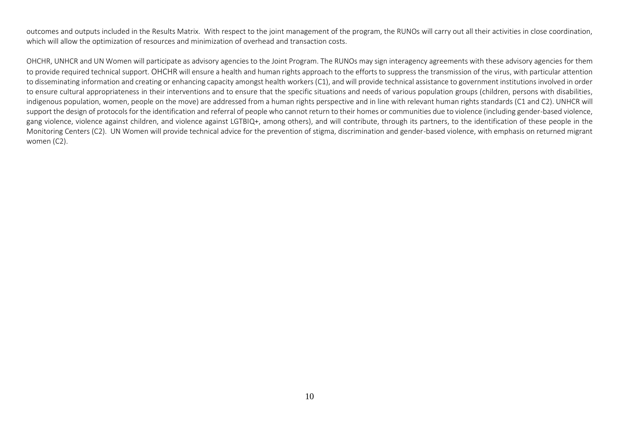outcomes and outputs included in the Results Matrix. With respect to the joint management of the program, the RUNOs will carry out all their activities in close coordination, which will allow the optimization of resources and minimization of overhead and transaction costs.

OHCHR, UNHCR and UN Women will participate as advisory agencies to the Joint Program. The RUNOs may sign interagency agreements with these advisory agencies for them to provide required technical support. OHCHR will ensure a health and human rights approach to the efforts to suppress the transmission of the virus, with particular attention to disseminating information and creating or enhancing capacity amongst health workers (C1), and will provide technical assistance to government institutions involved in order to ensure cultural appropriateness in their interventions and to ensure that the specific situations and needs of various population groups (children, persons with disabilities, indigenous population, women, people on the move) are addressed from a human rights perspective and in line with relevant human rights standards (C1 and C2). UNHCR will support the design of protocols for the identification and referral of people who cannot return to their homes or communities due to violence (including gender-based violence, gang violence, violence against children, and violence against LGTBIQ+, among others), and will contribute, through its partners, to the identification of these people in the Monitoring Centers (C2). UN Women will provide technical advice for the prevention of stigma, discrimination and gender-based violence, with emphasis on returned migrant women (C2).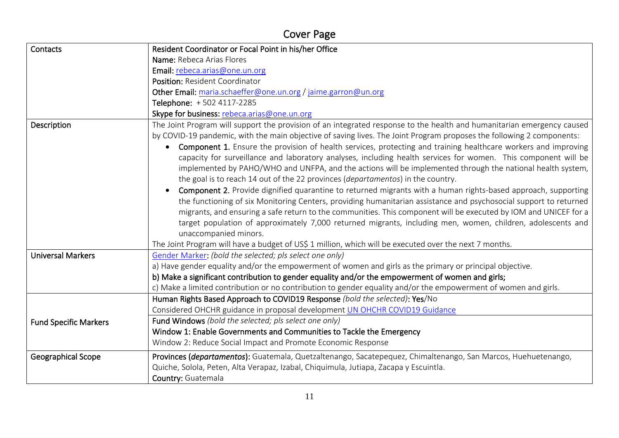# Cover Page

| Contacts                     | Resident Coordinator or Focal Point in his/her Office                                                                                                                                                                                                                                                                                                                                                                                                                                                                                                                                                                                                                                                                                                                                                                                                                                                                                                                                                                                                                                                                                                                                                                            |
|------------------------------|----------------------------------------------------------------------------------------------------------------------------------------------------------------------------------------------------------------------------------------------------------------------------------------------------------------------------------------------------------------------------------------------------------------------------------------------------------------------------------------------------------------------------------------------------------------------------------------------------------------------------------------------------------------------------------------------------------------------------------------------------------------------------------------------------------------------------------------------------------------------------------------------------------------------------------------------------------------------------------------------------------------------------------------------------------------------------------------------------------------------------------------------------------------------------------------------------------------------------------|
|                              | Name: Rebeca Arias Flores                                                                                                                                                                                                                                                                                                                                                                                                                                                                                                                                                                                                                                                                                                                                                                                                                                                                                                                                                                                                                                                                                                                                                                                                        |
|                              | Email: rebeca.arias@one.un.org                                                                                                                                                                                                                                                                                                                                                                                                                                                                                                                                                                                                                                                                                                                                                                                                                                                                                                                                                                                                                                                                                                                                                                                                   |
|                              | Position: Resident Coordinator                                                                                                                                                                                                                                                                                                                                                                                                                                                                                                                                                                                                                                                                                                                                                                                                                                                                                                                                                                                                                                                                                                                                                                                                   |
|                              | Other Email: maria.schaeffer@one.un.org / jaime.garron@un.org                                                                                                                                                                                                                                                                                                                                                                                                                                                                                                                                                                                                                                                                                                                                                                                                                                                                                                                                                                                                                                                                                                                                                                    |
|                              | Telephone: +502 4117-2285                                                                                                                                                                                                                                                                                                                                                                                                                                                                                                                                                                                                                                                                                                                                                                                                                                                                                                                                                                                                                                                                                                                                                                                                        |
|                              | Skype for business: rebeca.arias@one.un.org                                                                                                                                                                                                                                                                                                                                                                                                                                                                                                                                                                                                                                                                                                                                                                                                                                                                                                                                                                                                                                                                                                                                                                                      |
| Description                  | The Joint Program will support the provision of an integrated response to the health and humanitarian emergency caused<br>by COVID-19 pandemic, with the main objective of saving lives. The Joint Program proposes the following 2 components:<br><b>Component 1.</b> Ensure the provision of health services, protecting and training healthcare workers and improving<br>$\bullet$<br>capacity for surveillance and laboratory analyses, including health services for women. This component will be<br>implemented by PAHO/WHO and UNFPA, and the actions will be implemented through the national health system,<br>the goal is to reach 14 out of the 22 provinces ( <i>departamentos</i> ) in the country.<br>Component 2. Provide dignified quarantine to returned migrants with a human rights-based approach, supporting<br>$\bullet$<br>the functioning of six Monitoring Centers, providing humanitarian assistance and psychosocial support to returned<br>migrants, and ensuring a safe return to the communities. This component will be executed by IOM and UNICEF for a<br>target population of approximately 7,000 returned migrants, including men, women, children, adolescents and<br>unaccompanied minors. |
|                              | The Joint Program will have a budget of US\$ 1 million, which will be executed over the next 7 months.                                                                                                                                                                                                                                                                                                                                                                                                                                                                                                                                                                                                                                                                                                                                                                                                                                                                                                                                                                                                                                                                                                                           |
| <b>Universal Markers</b>     | Gender Marker: (bold the selected; pls select one only)                                                                                                                                                                                                                                                                                                                                                                                                                                                                                                                                                                                                                                                                                                                                                                                                                                                                                                                                                                                                                                                                                                                                                                          |
|                              | a) Have gender equality and/or the empowerment of women and girls as the primary or principal objective.                                                                                                                                                                                                                                                                                                                                                                                                                                                                                                                                                                                                                                                                                                                                                                                                                                                                                                                                                                                                                                                                                                                         |
|                              | b) Make a significant contribution to gender equality and/or the empowerment of women and girls;                                                                                                                                                                                                                                                                                                                                                                                                                                                                                                                                                                                                                                                                                                                                                                                                                                                                                                                                                                                                                                                                                                                                 |
|                              | c) Make a limited contribution or no contribution to gender equality and/or the empowerment of women and girls.<br>Human Rights Based Approach to COVID19 Response (bold the selected): Yes/No                                                                                                                                                                                                                                                                                                                                                                                                                                                                                                                                                                                                                                                                                                                                                                                                                                                                                                                                                                                                                                   |
|                              | Considered OHCHR guidance in proposal development UN OHCHR COVID19 Guidance                                                                                                                                                                                                                                                                                                                                                                                                                                                                                                                                                                                                                                                                                                                                                                                                                                                                                                                                                                                                                                                                                                                                                      |
|                              | Fund Windows (bold the selected; pls select one only)                                                                                                                                                                                                                                                                                                                                                                                                                                                                                                                                                                                                                                                                                                                                                                                                                                                                                                                                                                                                                                                                                                                                                                            |
| <b>Fund Specific Markers</b> | Window 1: Enable Governments and Communities to Tackle the Emergency                                                                                                                                                                                                                                                                                                                                                                                                                                                                                                                                                                                                                                                                                                                                                                                                                                                                                                                                                                                                                                                                                                                                                             |
|                              | Window 2: Reduce Social Impact and Promote Economic Response                                                                                                                                                                                                                                                                                                                                                                                                                                                                                                                                                                                                                                                                                                                                                                                                                                                                                                                                                                                                                                                                                                                                                                     |
|                              |                                                                                                                                                                                                                                                                                                                                                                                                                                                                                                                                                                                                                                                                                                                                                                                                                                                                                                                                                                                                                                                                                                                                                                                                                                  |
| Geographical Scope           | Provinces (departamentos): Guatemala, Quetzaltenango, Sacatepequez, Chimaltenango, San Marcos, Huehuetenango,                                                                                                                                                                                                                                                                                                                                                                                                                                                                                                                                                                                                                                                                                                                                                                                                                                                                                                                                                                                                                                                                                                                    |
|                              | Quiche, Solola, Peten, Alta Verapaz, Izabal, Chiquimula, Jutiapa, Zacapa y Escuintla.                                                                                                                                                                                                                                                                                                                                                                                                                                                                                                                                                                                                                                                                                                                                                                                                                                                                                                                                                                                                                                                                                                                                            |
|                              | Country: Guatemala                                                                                                                                                                                                                                                                                                                                                                                                                                                                                                                                                                                                                                                                                                                                                                                                                                                                                                                                                                                                                                                                                                                                                                                                               |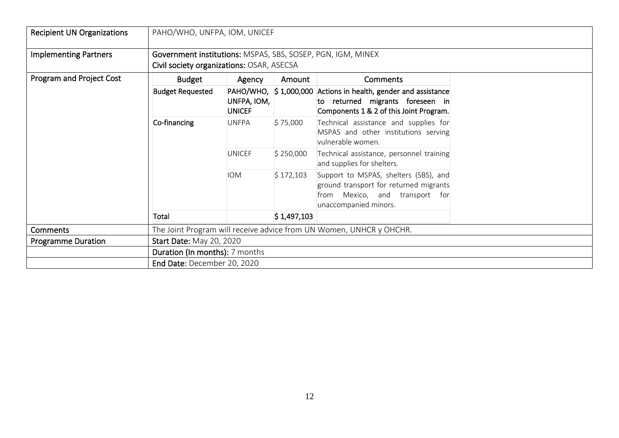| <b>Recipient UN Organizations</b> | PAHO/WHO, UNFPA, IOM, UNICEF                                                                             |                              |             |                                                                                                                                               |  |  |  |  |  |  |
|-----------------------------------|----------------------------------------------------------------------------------------------------------|------------------------------|-------------|-----------------------------------------------------------------------------------------------------------------------------------------------|--|--|--|--|--|--|
| <b>Implementing Partners</b>      | Government institutions: MSPAS, SBS, SOSEP, PGN, IGM, MINEX<br>Civil society organizations: OSAR, ASECSA |                              |             |                                                                                                                                               |  |  |  |  |  |  |
| Program and Project Cost          | <b>Budget</b>                                                                                            | Agency                       | Amount      | Comments                                                                                                                                      |  |  |  |  |  |  |
|                                   | <b>Budget Requested</b>                                                                                  | UNFPA, IOM,<br><b>UNICEF</b> |             | PAHO/WHO, \$1,000,000 Actions in health, gender and assistance<br>to returned migrants foreseen in<br>Components 1 & 2 of this Joint Program. |  |  |  |  |  |  |
|                                   | Co-financing                                                                                             | <b>UNFPA</b>                 | \$75,000    | Technical assistance and supplies for<br>MSPAS and other institutions serving<br>vulnerable women.                                            |  |  |  |  |  |  |
|                                   |                                                                                                          | <b>UNICEF</b>                | \$250,000   | Technical assistance, personnel training<br>and supplies for shelters.                                                                        |  |  |  |  |  |  |
|                                   |                                                                                                          | <b>IOM</b>                   | \$172,103   | Support to MSPAS, shelters (SBS), and<br>ground transport for returned migrants<br>from Mexico, and transport for<br>unaccompanied minors.    |  |  |  |  |  |  |
|                                   | Total                                                                                                    |                              | \$1,497,103 |                                                                                                                                               |  |  |  |  |  |  |
| <b>Comments</b>                   |                                                                                                          |                              |             | The Joint Program will receive advice from UN Women, UNHCR y OHCHR.                                                                           |  |  |  |  |  |  |
| <b>Programme Duration</b>         | <b>Start Date: May 20, 2020</b>                                                                          |                              |             |                                                                                                                                               |  |  |  |  |  |  |
|                                   | Duration (In months): 7 months                                                                           |                              |             |                                                                                                                                               |  |  |  |  |  |  |
|                                   | End Date: December 20, 2020                                                                              |                              |             |                                                                                                                                               |  |  |  |  |  |  |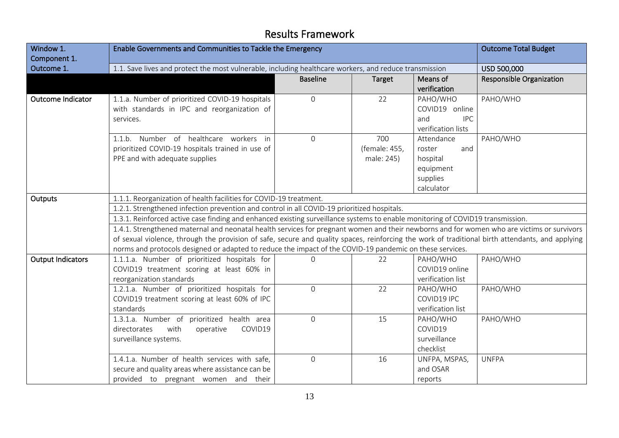## Results Framework

| Window 1.<br>Component 1. | Enable Governments and Communities to Tackle the Emergency                                                                                                                                                                                                                                                                                                                                                 | <b>Outcome Total Budget</b> |                                    |                                                                                |                                 |  |  |  |  |  |  |
|---------------------------|------------------------------------------------------------------------------------------------------------------------------------------------------------------------------------------------------------------------------------------------------------------------------------------------------------------------------------------------------------------------------------------------------------|-----------------------------|------------------------------------|--------------------------------------------------------------------------------|---------------------------------|--|--|--|--|--|--|
| Outcome 1.                | 1.1. Save lives and protect the most vulnerable, including healthcare workers, and reduce transmission                                                                                                                                                                                                                                                                                                     |                             |                                    |                                                                                | USD 500,000                     |  |  |  |  |  |  |
|                           |                                                                                                                                                                                                                                                                                                                                                                                                            | <b>Baseline</b>             | <b>Target</b>                      | Means of<br>verification                                                       | <b>Responsible Organization</b> |  |  |  |  |  |  |
| Outcome Indicator         | 1.1.a. Number of prioritized COVID-19 hospitals<br>with standards in IPC and reorganization of<br>services.                                                                                                                                                                                                                                                                                                | $\mathsf{O}\xspace$         | 22                                 | PAHO/WHO<br>COVID19 online<br>and<br><b>IPC</b><br>verification lists          | PAHO/WHO                        |  |  |  |  |  |  |
|                           | 1.1.b. Number of healthcare workers in<br>prioritized COVID-19 hospitals trained in use of<br>PPE and with adequate supplies                                                                                                                                                                                                                                                                               | $\mathbf{O}$                | 700<br>(female: 455,<br>male: 245) | Attendance<br>and<br>roster<br>hospital<br>equipment<br>supplies<br>calculator | PAHO/WHO                        |  |  |  |  |  |  |
| Outputs                   | 1.1.1. Reorganization of health facilities for COVID-19 treatment.                                                                                                                                                                                                                                                                                                                                         |                             |                                    |                                                                                |                                 |  |  |  |  |  |  |
|                           | 1.2.1. Strengthened infection prevention and control in all COVID-19 prioritized hospitals.                                                                                                                                                                                                                                                                                                                |                             |                                    |                                                                                |                                 |  |  |  |  |  |  |
|                           | 1.3.1. Reinforced active case finding and enhanced existing surveillance systems to enable monitoring of COVID19 transmission.                                                                                                                                                                                                                                                                             |                             |                                    |                                                                                |                                 |  |  |  |  |  |  |
|                           | 1.4.1. Strengthened maternal and neonatal health services for pregnant women and their newborns and for women who are victims or survivors<br>of sexual violence, through the provision of safe, secure and quality spaces, reinforcing the work of traditional birth attendants, and applying<br>norms and protocols designed or adapted to reduce the impact of the COVID-19 pandemic on these services. |                             |                                    |                                                                                |                                 |  |  |  |  |  |  |
|                           | 1.1.1.a. Number of prioritized hospitals for                                                                                                                                                                                                                                                                                                                                                               | $\Omega$                    | 22                                 | PAHO/WHO                                                                       | PAHO/WHO                        |  |  |  |  |  |  |
| <b>Output Indicators</b>  | COVID19 treatment scoring at least 60% in<br>reorganization standards                                                                                                                                                                                                                                                                                                                                      |                             |                                    | COVID19 online<br>verification list                                            |                                 |  |  |  |  |  |  |
|                           | 1.2.1.a. Number of prioritized hospitals for<br>COVID19 treatment scoring at least 60% of IPC<br>standards                                                                                                                                                                                                                                                                                                 | $\mathbf{0}$                | 22                                 | PAHO/WHO<br>COVID19 IPC<br>verification list                                   | PAHO/WHO                        |  |  |  |  |  |  |
|                           | 1.3.1.a. Number of prioritized health area<br>directorates<br>with<br>operative<br>COVID19<br>surveillance systems.                                                                                                                                                                                                                                                                                        | $\mathsf{O}\xspace$         | 15                                 | PAHO/WHO<br>COVID19<br>surveillance<br>checklist                               | PAHO/WHO                        |  |  |  |  |  |  |
|                           | 1.4.1.a. Number of health services with safe,<br>secure and quality areas where assistance can be<br>provided to pregnant women and their                                                                                                                                                                                                                                                                  | $\mathsf{O}\xspace$         | 16                                 | UNFPA, MSPAS,<br>and OSAR<br>reports                                           | <b>UNFPA</b>                    |  |  |  |  |  |  |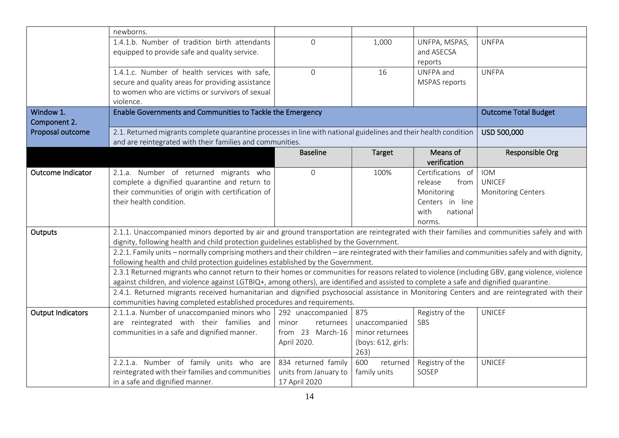|                          | newborns.                                                                                                                                            |                               |                                  |                          |                             |
|--------------------------|------------------------------------------------------------------------------------------------------------------------------------------------------|-------------------------------|----------------------------------|--------------------------|-----------------------------|
|                          | 1.4.1.b. Number of tradition birth attendants                                                                                                        | $\mathbf{O}$                  | 1,000                            | UNFPA, MSPAS,            | <b>UNFPA</b>                |
|                          | equipped to provide safe and quality service.                                                                                                        |                               |                                  | and ASECSA               |                             |
|                          |                                                                                                                                                      |                               |                                  | reports                  |                             |
|                          | 1.4.1.c. Number of health services with safe,                                                                                                        | $\overline{O}$                | 16                               | UNFPA and                | <b>UNFPA</b>                |
|                          | secure and quality areas for providing assistance                                                                                                    |                               |                                  | <b>MSPAS reports</b>     |                             |
|                          | to women who are victims or survivors of sexual                                                                                                      |                               |                                  |                          |                             |
|                          | violence.                                                                                                                                            |                               |                                  |                          |                             |
| Window 1.                | Enable Governments and Communities to Tackle the Emergency                                                                                           |                               |                                  |                          | <b>Outcome Total Budget</b> |
| Component 2.             |                                                                                                                                                      |                               |                                  |                          |                             |
| Proposal outcome         | 2.1. Returned migrants complete quarantine processes in line with national guidelines and their health condition                                     |                               |                                  |                          | USD 500,000                 |
|                          | and are reintegrated with their families and communities.                                                                                            |                               |                                  |                          |                             |
|                          |                                                                                                                                                      | <b>Baseline</b>               | <b>Target</b>                    | Means of                 | Responsible Org             |
|                          |                                                                                                                                                      |                               |                                  | verification             |                             |
| <b>Outcome Indicator</b> | 2.1.a. Number of returned migrants who                                                                                                               | $\mathbf{0}$                  | 100%                             | Certifications of        | <b>IOM</b>                  |
|                          | complete a dignified quarantine and return to                                                                                                        |                               |                                  | release<br>from          | <b>UNICEF</b>               |
|                          | their communities of origin with certification of                                                                                                    |                               |                                  | Monitoring               | Monitoring Centers          |
|                          | their health condition.                                                                                                                              |                               |                                  | Centers in line          |                             |
|                          |                                                                                                                                                      |                               |                                  | with<br>national         |                             |
|                          |                                                                                                                                                      |                               |                                  | norms.                   |                             |
| Outputs                  | 2.1.1. Unaccompanied minors deported by air and ground transportation are reintegrated with their families and communities safely and with           |                               |                                  |                          |                             |
|                          | dignity, following health and child protection guidelines established by the Government.                                                             |                               |                                  |                          |                             |
|                          | 2.2.1. Family units - normally comprising mothers and their children - are reintegrated with their families and communities safely and with dignity, |                               |                                  |                          |                             |
|                          | following health and child protection guidelines established by the Government.                                                                      |                               |                                  |                          |                             |
|                          | 2.3.1 Returned migrants who cannot return to their homes or communities for reasons related to violence (including GBV, gang violence, violence      |                               |                                  |                          |                             |
|                          | against children, and violence against LGTBIQ+, among others), are identified and assisted to complete a safe and dignified quarantine.              |                               |                                  |                          |                             |
|                          | 2.4.1. Returned migrants received humanitarian and dignified psychosocial assistance in Monitoring Centers and are reintegrated with their           |                               |                                  |                          |                             |
|                          | communities having completed established procedures and requirements.                                                                                |                               |                                  |                          |                             |
| <b>Output Indicators</b> | 2.1.1.a. Number of unaccompanied minors who<br>are reintegrated with their families and                                                              | 292 unaccompanied<br>minor    | 875                              | Registry of the<br>SBS   | <b>UNICEF</b>               |
|                          | communities in a safe and dignified manner.                                                                                                          | returnees<br>from 23 March-16 | unaccompanied<br>minor returnees |                          |                             |
|                          |                                                                                                                                                      | April 2020.                   |                                  |                          |                             |
|                          |                                                                                                                                                      |                               | (boys: 612, girls:<br>263)       |                          |                             |
|                          | 2.2.1.a. Number of family units who are                                                                                                              | 834 returned family           | 600<br>returned                  |                          | <b>UNICEF</b>               |
|                          | reintegrated with their families and communities                                                                                                     | units from January to         | family units                     | Registry of the<br>SOSEP |                             |
|                          | in a safe and dignified manner.                                                                                                                      | 17 April 2020                 |                                  |                          |                             |
|                          |                                                                                                                                                      |                               |                                  |                          |                             |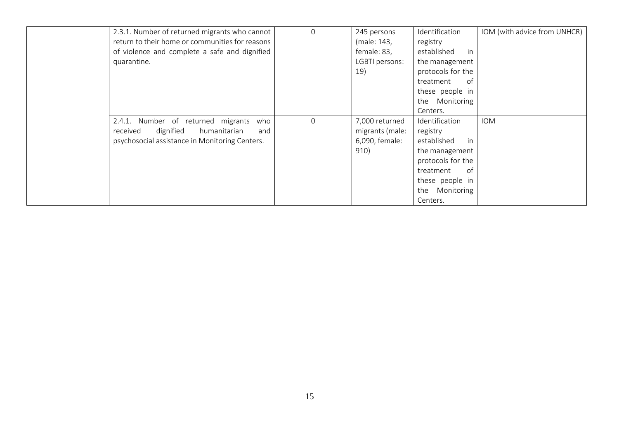| 2.3.1. Number of returned migrants who cannot<br>return to their home or communities for reasons<br>of violence and complete a safe and dignified<br>quarantine. | $\Omega$ | 245 persons<br>(male: 143,<br>female: 83,<br>LGBTI persons:<br>19) | Identification<br>registry<br>established<br>in<br>the management<br>protocols for the<br>treatment<br>of<br>these people in<br>the Monitoring<br>Centers. | IOM (with advice from UNHCR) |
|------------------------------------------------------------------------------------------------------------------------------------------------------------------|----------|--------------------------------------------------------------------|------------------------------------------------------------------------------------------------------------------------------------------------------------|------------------------------|
| 2.4.1. Number of returned migrants<br>who<br>dignified<br>humanitarian<br>received<br>and<br>psychosocial assistance in Monitoring Centers.                      | $\Omega$ | 7,000 returned<br>migrants (male:<br>6,090, female:<br>910)        | Identification<br>registry<br>established<br>in<br>the management<br>protocols for the<br>of<br>treatment<br>these people in<br>the Monitoring<br>Centers. | <b>IOM</b>                   |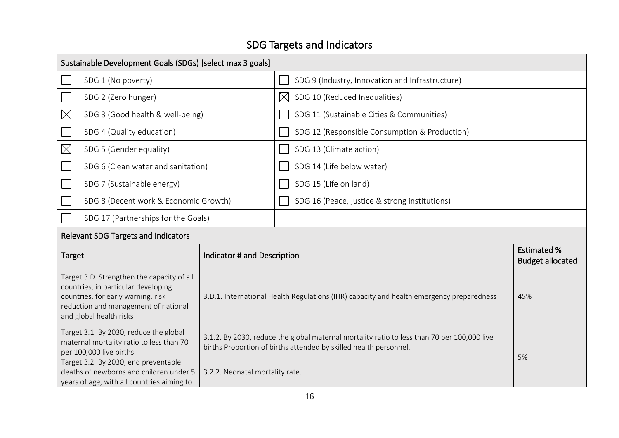# SDG Targets and Indicators

|                                                                                                                                                                                            | Sustainable Development Goals (SDGs) [select max 3 goals]                                                                     |                                 |             |                                                                                                                                                                  |                                               |  |  |  |
|--------------------------------------------------------------------------------------------------------------------------------------------------------------------------------------------|-------------------------------------------------------------------------------------------------------------------------------|---------------------------------|-------------|------------------------------------------------------------------------------------------------------------------------------------------------------------------|-----------------------------------------------|--|--|--|
|                                                                                                                                                                                            | SDG 1 (No poverty)                                                                                                            |                                 |             | SDG 9 (Industry, Innovation and Infrastructure)                                                                                                                  |                                               |  |  |  |
|                                                                                                                                                                                            | SDG 2 (Zero hunger)                                                                                                           |                                 | $\boxtimes$ | SDG 10 (Reduced Inequalities)                                                                                                                                    |                                               |  |  |  |
| $\times$                                                                                                                                                                                   | SDG 3 (Good health & well-being)                                                                                              |                                 |             | SDG 11 (Sustainable Cities & Communities)                                                                                                                        |                                               |  |  |  |
|                                                                                                                                                                                            | SDG 4 (Quality education)                                                                                                     |                                 |             | SDG 12 (Responsible Consumption & Production)                                                                                                                    |                                               |  |  |  |
| $\boxtimes$                                                                                                                                                                                | SDG 5 (Gender equality)                                                                                                       |                                 |             | SDG 13 (Climate action)                                                                                                                                          |                                               |  |  |  |
|                                                                                                                                                                                            | SDG 6 (Clean water and sanitation)                                                                                            |                                 |             | SDG 14 (Life below water)                                                                                                                                        |                                               |  |  |  |
|                                                                                                                                                                                            | SDG 7 (Sustainable energy)                                                                                                    |                                 |             | SDG 15 (Life on land)                                                                                                                                            |                                               |  |  |  |
|                                                                                                                                                                                            | SDG 8 (Decent work & Economic Growth)                                                                                         |                                 |             | SDG 16 (Peace, justice & strong institutions)                                                                                                                    |                                               |  |  |  |
| SDG 17 (Partnerships for the Goals)                                                                                                                                                        |                                                                                                                               |                                 |             |                                                                                                                                                                  |                                               |  |  |  |
|                                                                                                                                                                                            | <b>Relevant SDG Targets and Indicators</b>                                                                                    |                                 |             |                                                                                                                                                                  |                                               |  |  |  |
| <b>Target</b>                                                                                                                                                                              |                                                                                                                               | Indicator # and Description     |             |                                                                                                                                                                  | <b>Estimated %</b><br><b>Budget allocated</b> |  |  |  |
| Target 3.D. Strengthen the capacity of all<br>countries, in particular developing<br>countries, for early warning, risk<br>reduction and management of national<br>and global health risks |                                                                                                                               |                                 |             | 3.D.1. International Health Regulations (IHR) capacity and health emergency preparedness                                                                         | 45%                                           |  |  |  |
| Target 3.1. By 2030, reduce the global<br>maternal mortality ratio to less than 70<br>per 100,000 live births                                                                              |                                                                                                                               |                                 |             | 3.1.2. By 2030, reduce the global maternal mortality ratio to less than 70 per 100,000 live<br>births Proportion of births attended by skilled health personnel. | 5%                                            |  |  |  |
|                                                                                                                                                                                            | Target 3.2. By 2030, end preventable<br>deaths of newborns and children under 5<br>years of age, with all countries aiming to | 3.2.2. Neonatal mortality rate. |             |                                                                                                                                                                  |                                               |  |  |  |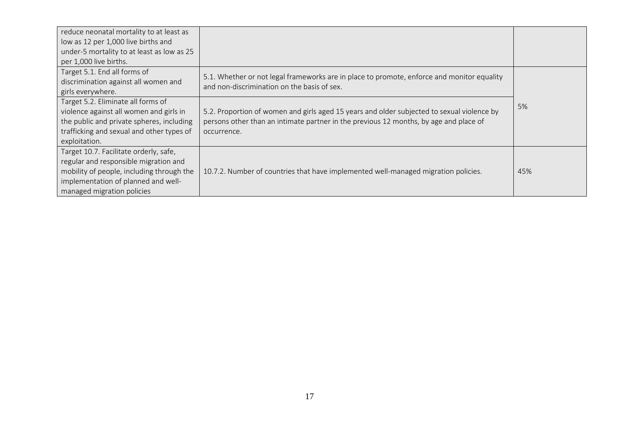| reduce neonatal mortality to at least as<br>low as 12 per 1,000 live births and |                                                                                            |     |
|---------------------------------------------------------------------------------|--------------------------------------------------------------------------------------------|-----|
| under-5 mortality to at least as low as 25                                      |                                                                                            |     |
| per 1,000 live births.                                                          |                                                                                            |     |
| Target 5.1. End all forms of                                                    | 5.1. Whether or not legal frameworks are in place to promote, enforce and monitor equality |     |
| discrimination against all women and                                            | and non-discrimination on the basis of sex.                                                |     |
| girls everywhere.                                                               |                                                                                            |     |
| Target 5.2. Eliminate all forms of                                              |                                                                                            | 5%  |
| violence against all women and girls in                                         | 5.2. Proportion of women and girls aged 15 years and older subjected to sexual violence by |     |
| the public and private spheres, including                                       | persons other than an intimate partner in the previous 12 months, by age and place of      |     |
| trafficking and sexual and other types of                                       | occurrence.                                                                                |     |
| exploitation.                                                                   |                                                                                            |     |
| Target 10.7. Facilitate orderly, safe,                                          |                                                                                            |     |
| regular and responsible migration and                                           |                                                                                            |     |
| mobility of people, including through the                                       | 10.7.2. Number of countries that have implemented well-managed migration policies.         | 45% |
| implementation of planned and well-                                             |                                                                                            |     |
| managed migration policies                                                      |                                                                                            |     |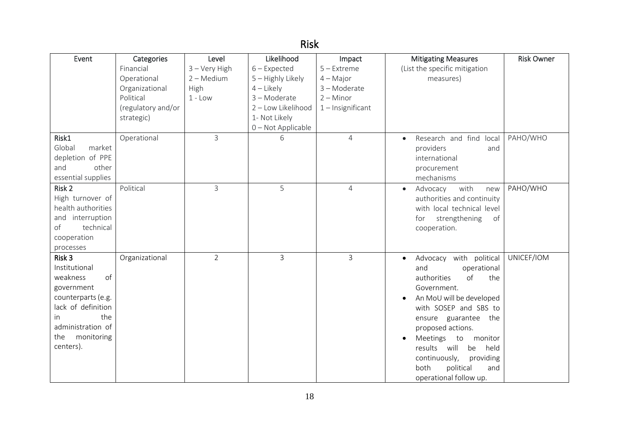# Risk

| Event                                                                                                                                                                          | Categories         | Level          | Likelihood          | Impact              | <b>Mitigating Measures</b>                                                                                                                                                                                                                                                                                                                                          | <b>Risk Owner</b> |
|--------------------------------------------------------------------------------------------------------------------------------------------------------------------------------|--------------------|----------------|---------------------|---------------------|---------------------------------------------------------------------------------------------------------------------------------------------------------------------------------------------------------------------------------------------------------------------------------------------------------------------------------------------------------------------|-------------------|
|                                                                                                                                                                                | Financial          | 3 - Very High  | $6$ – Expected      | $5 -$ Extreme       | (List the specific mitigation                                                                                                                                                                                                                                                                                                                                       |                   |
|                                                                                                                                                                                | Operational        | $2 - Medium$   | $5 -$ Highly Likely | $4 - Major$         | measures)                                                                                                                                                                                                                                                                                                                                                           |                   |
|                                                                                                                                                                                | Organizational     | High           | $4$ – Likely        | 3-Moderate          |                                                                                                                                                                                                                                                                                                                                                                     |                   |
|                                                                                                                                                                                | Political          | $1 - Low$      | 3-Moderate          | $2 -$ Minor         |                                                                                                                                                                                                                                                                                                                                                                     |                   |
|                                                                                                                                                                                | (regulatory and/or |                | 2 - Low Likelihood  | $1$ – Insignificant |                                                                                                                                                                                                                                                                                                                                                                     |                   |
|                                                                                                                                                                                | strategic)         |                | 1- Not Likely       |                     |                                                                                                                                                                                                                                                                                                                                                                     |                   |
|                                                                                                                                                                                |                    |                | 0 - Not Applicable  |                     |                                                                                                                                                                                                                                                                                                                                                                     |                   |
| Risk1<br>Global<br>market<br>depletion of PPE<br>and<br>other<br>essential supplies                                                                                            | Operational        | 3              | 6                   | 4                   | Research and find<br>local<br>$\bullet$<br>providers<br>and<br>international<br>procurement<br>mechanisms                                                                                                                                                                                                                                                           | PAHO/WHO          |
| Risk 2<br>High turnover of<br>health authorities<br>interruption<br>and<br>technical<br>of<br>cooperation<br>processes                                                         | Political          | $\overline{3}$ | 5                   | $\overline{4}$      | with<br>Advocacy<br>new<br>$\bullet$<br>authorities and continuity<br>with local technical level<br>strengthening<br>of<br>for<br>cooperation.                                                                                                                                                                                                                      | PAHO/WHO          |
| Risk 3<br>Institutional<br>of<br>weakness<br>government<br>counterparts (e.g.<br>lack of definition<br>the<br><i>in</i><br>administration of<br>monitoring<br>the<br>centers). | Organizational     | $\overline{2}$ | $\overline{3}$      | $\mathsf{3}$        | Advocacy with political<br>$\bullet$<br>and<br>operational<br>authorities<br>of<br>the<br>Government.<br>An MoU will be developed<br>$\bullet$<br>with SOSEP and SBS to<br>ensure guarantee the<br>proposed actions.<br>Meetings<br>to<br>monitor<br>results will<br>held<br>be<br>continuously,<br>providing<br>both<br>political<br>and<br>operational follow up. | UNICEF/IOM        |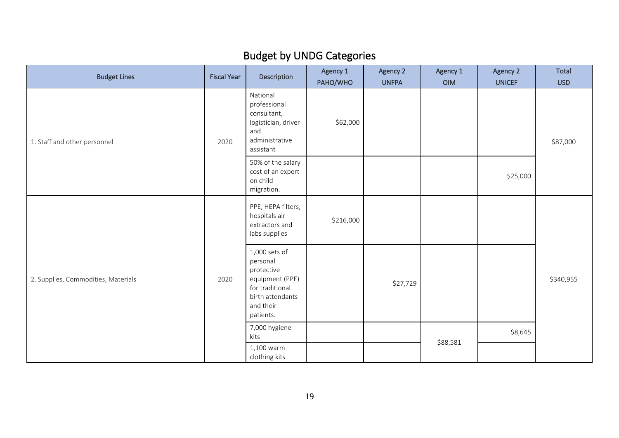# Budget by UNDG Categories

| <b>Budget Lines</b>                 | <b>Fiscal Year</b> | Description                                                                                                                 | Agency 1<br>PAHO/WHO | Agency 2<br><b>UNFPA</b> | Agency 1<br><b>OIM</b> | Agency 2<br><b>UNICEF</b> | <b>Total</b><br><b>USD</b> |
|-------------------------------------|--------------------|-----------------------------------------------------------------------------------------------------------------------------|----------------------|--------------------------|------------------------|---------------------------|----------------------------|
| 1. Staff and other personnel        | 2020               | National<br>professional<br>consultant,<br>logistician, driver<br>and<br>administrative<br>assistant                        | \$62,000             |                          |                        |                           | \$87,000                   |
|                                     |                    | 50% of the salary<br>cost of an expert<br>on child<br>migration.                                                            |                      |                          |                        | \$25,000                  |                            |
| 2. Supplies, Commodities, Materials |                    | PPE, HEPA filters,<br>hospitals air<br>extractors and<br>labs supplies                                                      | \$216,000            |                          |                        |                           |                            |
|                                     | 2020               | 1,000 sets of<br>personal<br>protective<br>equipment (PPE)<br>for traditional<br>birth attendants<br>and their<br>patients. |                      | \$27,729                 |                        |                           | \$340,955                  |
|                                     |                    | 7,000 hygiene<br>kits                                                                                                       |                      |                          |                        | \$8,645                   |                            |
|                                     |                    | 1,100 warm<br>clothing kits                                                                                                 |                      |                          | \$88,581               |                           |                            |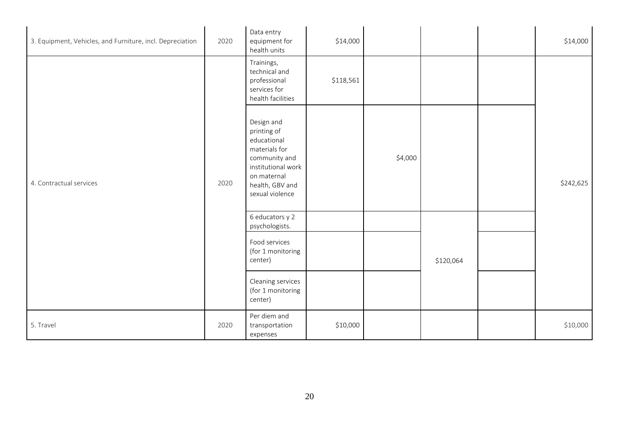| 3. Equipment, Vehicles, and Furniture, incl. Depreciation | 2020 | Data entry<br>equipment for<br>health units                                                                                                           | \$14,000  |         |           |  | \$14,000  |
|-----------------------------------------------------------|------|-------------------------------------------------------------------------------------------------------------------------------------------------------|-----------|---------|-----------|--|-----------|
| 4. Contractual services                                   | 2020 | Trainings,<br>technical and<br>professional<br>services for<br>health facilities                                                                      | \$118,561 |         |           |  |           |
|                                                           |      | Design and<br>printing of<br>educational<br>materials for<br>community and<br>institutional work<br>on maternal<br>health, GBV and<br>sexual violence |           | \$4,000 |           |  | \$242,625 |
|                                                           |      | 6 educators y 2<br>psychologists.                                                                                                                     |           |         |           |  |           |
|                                                           |      | Food services<br>(for 1 monitoring<br>center)                                                                                                         |           |         | \$120,064 |  |           |
|                                                           |      | Cleaning services<br>(for 1 monitoring<br>center)                                                                                                     |           |         |           |  |           |
| 5. Travel                                                 | 2020 | Per diem and<br>transportation<br>expenses                                                                                                            | \$10,000  |         |           |  | \$10,000  |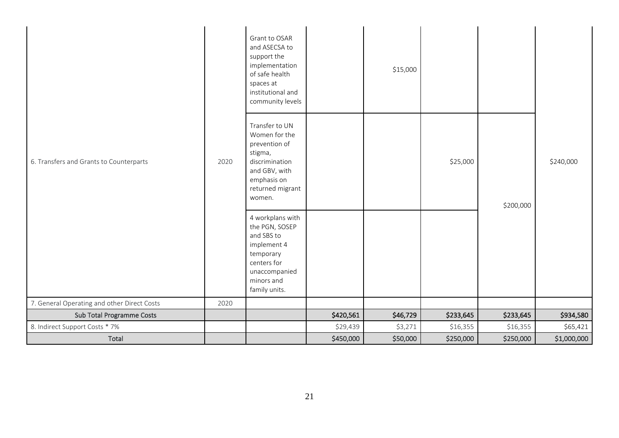| 6. Transfers and Grants to Counterparts     |      | Grant to OSAR<br>and ASECSA to<br>support the<br>implementation<br>of safe health<br>spaces at<br>institutional and<br>community levels     |           | \$15,000 |           |           |             |
|---------------------------------------------|------|---------------------------------------------------------------------------------------------------------------------------------------------|-----------|----------|-----------|-----------|-------------|
|                                             | 2020 | Transfer to UN<br>Women for the<br>prevention of<br>stigma,<br>discrimination<br>and GBV, with<br>emphasis on<br>returned migrant<br>women. |           |          | \$25,000  | \$200,000 | \$240,000   |
|                                             |      | 4 workplans with<br>the PGN, SOSEP<br>and SBS to<br>implement 4<br>temporary<br>centers for<br>unaccompanied<br>minors and<br>family units. |           |          |           |           |             |
| 7. General Operating and other Direct Costs | 2020 |                                                                                                                                             |           |          |           |           |             |
| Sub Total Programme Costs                   |      |                                                                                                                                             | \$420,561 | \$46,729 | \$233,645 | \$233,645 | \$934,580   |
| 8. Indirect Support Costs * 7%              |      |                                                                                                                                             | \$29,439  | \$3,271  | \$16,355  | \$16,355  | \$65,421    |
| Total                                       |      |                                                                                                                                             | \$450,000 | \$50,000 | \$250,000 | \$250,000 | \$1,000,000 |